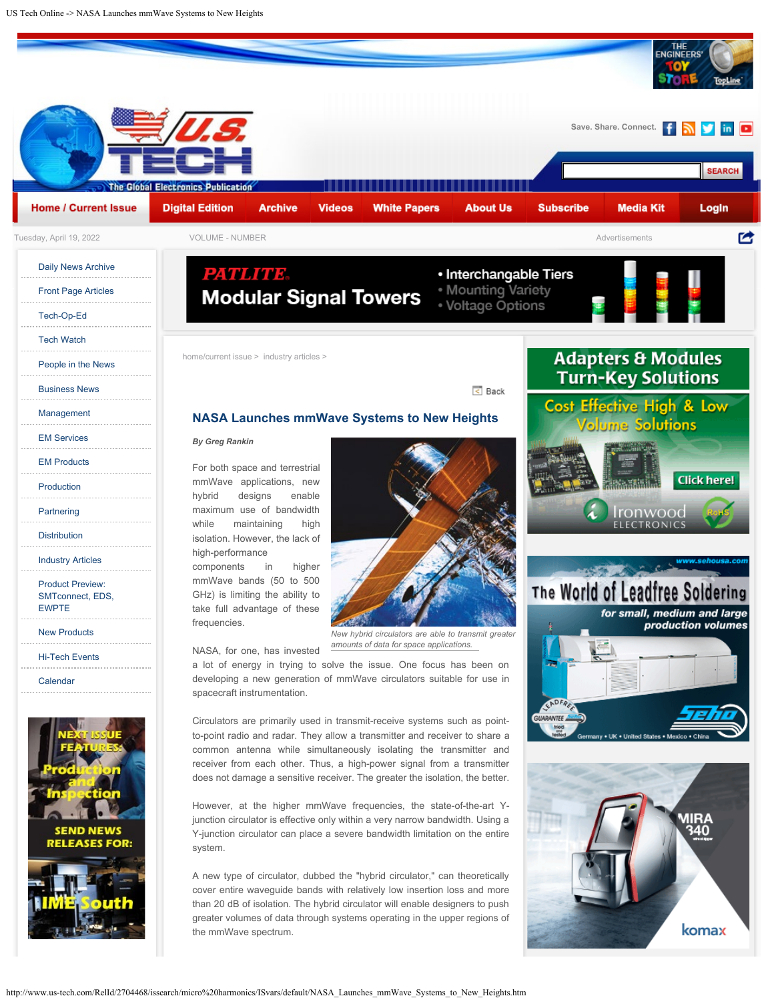



to-point radio and radar. They allow a transmitter and receiver to share a common antenna while simultaneously isolating the transmitter and receiver from each other. Thus, a high-power signal from a transmitter does not damage a sensitive receiver. The greater the isolation, the better.

However, at the higher mmWave frequencies, the state-of-the-art Yjunction circulator is effective only within a very narrow bandwidth. Using a Y-junction circulator can place a severe bandwidth limitation on the entire system.

A new type of circulator, dubbed the "hybrid circulator," can theoretically cover entire waveguide bands with relatively low insertion loss and more than 20 dB of isolation. The hybrid circulator will enable designers to push greater volumes of data through systems operating in the upper regions of the mmWave spectrum.



komax